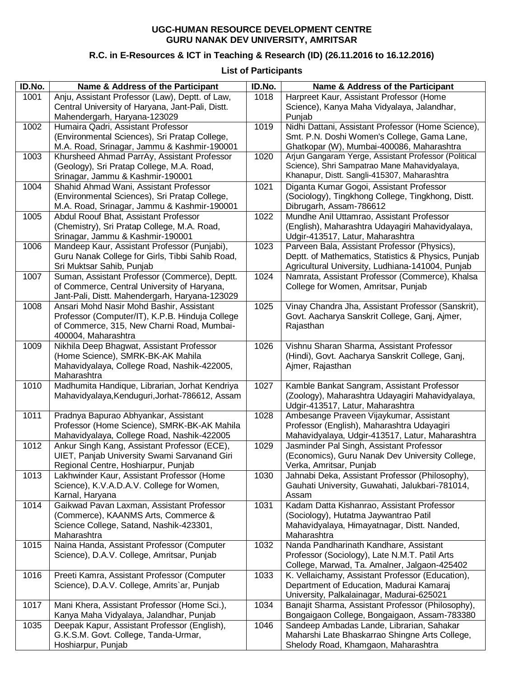## **UGC-HUMAN RESOURCE DEVELOPMENT CENTRE GURU NANAK DEV UNIVERSITY, AMRITSAR**

## **R.C. in E-Resources & ICT in Teaching & Research (ID) (26.11.2016 to 16.12.2016)**

## **List of Participants**

| ID.No. | Name & Address of the Participant                | ID.No. | Name & Address of the Participant                                                                   |
|--------|--------------------------------------------------|--------|-----------------------------------------------------------------------------------------------------|
| 1001   | Anju, Assistant Professor (Law), Deptt. of Law,  | 1018   | Harpreet Kaur, Assistant Professor (Home                                                            |
|        | Central University of Haryana, Jant-Pali, Distt. |        | Science), Kanya Maha Vidyalaya, Jalandhar,                                                          |
|        | Mahendergarh, Haryana-123029                     |        | Punjab                                                                                              |
| 1002   | Humaira Qadri, Assistant Professor               | 1019   | Nidhi Dattani, Assistant Professor (Home Science),                                                  |
|        | (Environmental Sciences), Sri Pratap College,    |        | Smt. P.N. Doshi Women's College, Gama Lane,                                                         |
|        | M.A. Road, Srinagar, Jammu & Kashmir-190001      |        | Ghatkopar (W), Mumbai-400086, Maharashtra                                                           |
| 1003   | Khursheed Ahmad ParrAy, Assistant Professor      | 1020   | Arjun Gangaram Yerge, Assistant Professor (Political                                                |
|        | (Geology), Sri Pratap College, M.A. Road,        |        | Science), Shri Sampatrao Mane Mahavidyalaya,                                                        |
|        | Srinagar, Jammu & Kashmir-190001                 |        | Khanapur, Distt. Sangli-415307, Maharashtra                                                         |
| 1004   | Shahid Ahmad Wani, Assistant Professor           | 1021   | Diganta Kumar Gogoi, Assistant Professor                                                            |
|        | (Environmental Sciences), Sri Pratap College,    |        | (Sociology), Tingkhong College, Tingkhong, Distt.                                                   |
|        | M.A. Road, Srinagar, Jammu & Kashmir-190001      |        | Dibrugarh, Assam-786612                                                                             |
| 1005   | Abdul Roouf Bhat, Assistant Professor            | 1022   | Mundhe Anil Uttamrao, Assistant Professor                                                           |
|        | (Chemistry), Sri Pratap College, M.A. Road,      |        | (English), Maharashtra Udayagiri Mahavidyalaya,                                                     |
|        | Srinagar, Jammu & Kashmir-190001                 |        | Udgir-413517, Latur, Maharashtra                                                                    |
| 1006   | Mandeep Kaur, Assistant Professor (Punjabi),     | 1023   | Parveen Bala, Assistant Professor (Physics),                                                        |
|        | Guru Nanak College for Girls, Tibbi Sahib Road,  |        | Deptt. of Mathematics, Statistics & Physics, Punjab                                                 |
|        | Sri Muktsar Sahib, Punjab                        |        |                                                                                                     |
| 1007   | Suman, Assistant Professor (Commerce), Deptt.    | 1024   | Agricultural University, Ludhiana-141004, Punjab<br>Namrata, Assistant Professor (Commerce), Khalsa |
|        | of Commerce, Central University of Haryana,      |        | College for Women, Amritsar, Punjab                                                                 |
|        |                                                  |        |                                                                                                     |
|        | Jant-Pali, Distt. Mahendergarh, Haryana-123029   |        |                                                                                                     |
| 1008   | Ansari Mohd Nasir Mohd Bashir, Assistant         | 1025   | Vinay Chandra Jha, Assistant Professor (Sanskrit),                                                  |
|        | Professor (Computer/IT), K.P.B. Hinduja College  |        | Govt. Aacharya Sanskrit College, Ganj, Ajmer,                                                       |
|        | of Commerce, 315, New Charni Road, Mumbai-       |        | Rajasthan                                                                                           |
|        | 400004, Maharashtra                              |        |                                                                                                     |
| 1009   | Nikhila Deep Bhagwat, Assistant Professor        | 1026   | Vishnu Sharan Sharma, Assistant Professor                                                           |
|        | (Home Science), SMRK-BK-AK Mahila                |        | (Hindi), Govt. Aacharya Sanskrit College, Ganj,                                                     |
|        | Mahavidyalaya, College Road, Nashik-422005,      |        | Ajmer, Rajasthan                                                                                    |
|        | Maharashtra                                      |        |                                                                                                     |
| 1010   | Madhumita Handique, Librarian, Jorhat Kendriya   | 1027   | Kamble Bankat Sangram, Assistant Professor                                                          |
|        | Mahavidyalaya, Kenduguri, Jorhat-786612, Assam   |        | (Zoology), Maharashtra Udayagiri Mahavidyalaya,                                                     |
|        |                                                  |        | Udgir-413517, Latur, Maharashtra                                                                    |
| 1011   | Pradnya Bapurao Abhyankar, Assistant             | 1028   | Ambesange Praveen Vijaykumar, Assistant                                                             |
|        | Professor (Home Science), SMRK-BK-AK Mahila      |        | Professor (English), Maharashtra Udayagiri                                                          |
|        | Mahavidyalaya, College Road, Nashik-422005       |        | Mahavidyalaya, Udgir-413517, Latur, Maharashtra                                                     |
| 1012   | Ankur Singh Kang, Assistant Professor (ECE),     | 1029   | Jasminder Pal Singh, Assistant Professor                                                            |
|        | UIET, Panjab University Swami Sarvanand Giri     |        | (Economics), Guru Nanak Dev University College,                                                     |
|        | Regional Centre, Hoshiarpur, Punjab              |        | Verka, Amritsar, Punjab                                                                             |
| 1013   | Lakhwinder Kaur, Assistant Professor (Home       | 1030   | Jahnabi Deka, Assistant Professor (Philosophy),                                                     |
|        | Science), K.V.A.D.A.V. College for Women,        |        | Gauhati University, Guwahati, Jalukbari-781014,                                                     |
|        | Karnal, Haryana                                  |        | Assam                                                                                               |
| 1014   | Gaikwad Pavan Laxman, Assistant Professor        | 1031   | Kadam Datta Kishanrao, Assistant Professor                                                          |
|        | (Commerce), KAANMS Arts, Commerce &              |        | (Sociology), Hutatma Jaywantrao Patil                                                               |
|        | Science College, Satand, Nashik-423301,          |        | Mahavidyalaya, Himayatnagar, Distt. Nanded,                                                         |
|        | Maharashtra                                      |        | Maharashtra                                                                                         |
| 1015   | Naina Handa, Assistant Professor (Computer       | 1032   | Nanda Pandharinath Kandhare, Assistant                                                              |
|        | Science), D.A.V. College, Amritsar, Punjab       |        | Professor (Sociology), Late N.M.T. Patil Arts                                                       |
|        |                                                  |        | College, Marwad, Ta. Amalner, Jalgaon-425402                                                        |
| 1016   | Preeti Kamra, Assistant Professor (Computer      | 1033   | K. Vellaichamy, Assistant Professor (Education),                                                    |
|        | Science), D.A.V. College, Amrits'ar, Punjab      |        | Department of Education, Madurai Kamaraj                                                            |
|        |                                                  |        | University, Palkalainagar, Madurai-625021                                                           |
| 1017   | Mani Khera, Assistant Professor (Home Sci.),     | 1034   | Banajit Sharma, Assistant Professor (Philosophy),                                                   |
|        | Kanya Maha Vidyalaya, Jalandhar, Punjab          |        | Bongaigaon College, Bongaigaon, Assam-783380                                                        |
| 1035   | Deepak Kapur, Assistant Professor (English),     | 1046   | Sandeep Ambadas Lande, Librarian, Sahakar                                                           |
|        | G.K.S.M. Govt. College, Tanda-Urmar,             |        | Maharshi Late Bhaskarrao Shingne Arts College,                                                      |
|        | Hoshiarpur, Punjab                               |        | Shelody Road, Khamgaon, Maharashtra                                                                 |